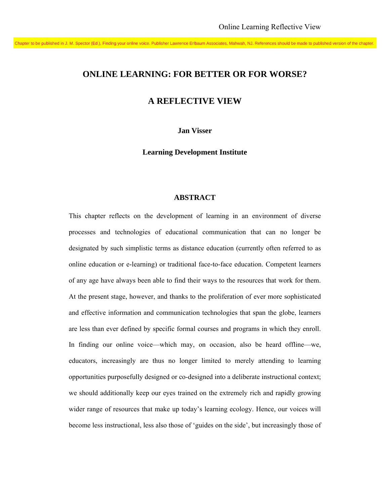Chapter to be published in J. M. Spector (Ed.), Finding your online voice. Publisher Lawrence Erlbaum Associates, Mahwah, NJ. References should be made to published version of the chapter.

# **ONLINE LEARNING: FOR BETTER OR FOR WORSE?**

# **A REFLECTIVE VIEW**

**Jan Visser** 

**Learning Development Institute** 

### **ABSTRACT**

This chapter reflects on the development of learning in an environment of diverse processes and technologies of educational communication that can no longer be designated by such simplistic terms as distance education (currently often referred to as online education or e-learning) or traditional face-to-face education. Competent learners of any age have always been able to find their ways to the resources that work for them. At the present stage, however, and thanks to the proliferation of ever more sophisticated and effective information and communication technologies that span the globe, learners are less than ever defined by specific formal courses and programs in which they enroll. In finding our online voice—which may, on occasion, also be heard offline—we, educators, increasingly are thus no longer limited to merely attending to learning opportunities purposefully designed or co-designed into a deliberate instructional context; we should additionally keep our eyes trained on the extremely rich and rapidly growing wider range of resources that make up today's learning ecology. Hence, our voices will become less instructional, less also those of 'guides on the side', but increasingly those of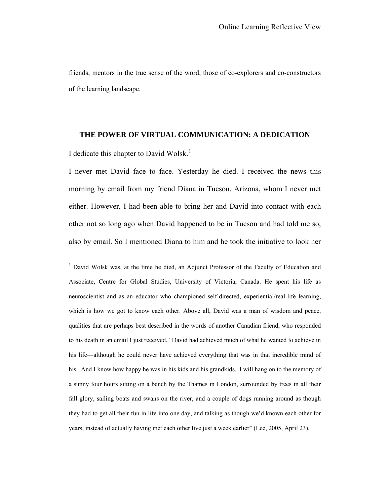friends, mentors in the true sense of the word, those of co-explorers and co-constructors of the learning landscape.

#### **THE POWER OF VIRTUAL COMMUNICATION: A DEDICATION**

I dedicate this chapter to David Wolsk.<sup>[1](#page-1-0)</sup>

 $\overline{a}$ 

I never met David face to face. Yesterday he died. I received the news this morning by email from my friend Diana in Tucson, Arizona, whom I never met either. However, I had been able to bring her and David into contact with each other not so long ago when David happened to be in Tucson and had told me so, also by email. So I mentioned Diana to him and he took the initiative to look her

<span id="page-1-0"></span><sup>1</sup> David Wolsk was, at the time he died, an Adjunct Professor of the Faculty of Education and Associate, Centre for Global Studies, University of Victoria, Canada. He spent his life as neuroscientist and as an educator who championed self-directed, experiential/real-life learning, which is how we got to know each other. Above all, David was a man of wisdom and peace, qualities that are perhaps best described in the words of another Canadian friend, who responded to his death in an email I just received. "David had achieved much of what he wanted to achieve in his life—although he could never have achieved everything that was in that incredible mind of his. And I know how happy he was in his kids and his grandkids. I will hang on to the memory of a sunny four hours sitting on a bench by the Thames in London, surrounded by trees in all their fall glory, sailing boats and swans on the river, and a couple of dogs running around as though they had to get all their fun in life into one day, and talking as though we'd known each other for years, instead of actually having met each other live just a week earlier" (Lee, 2005, April 23).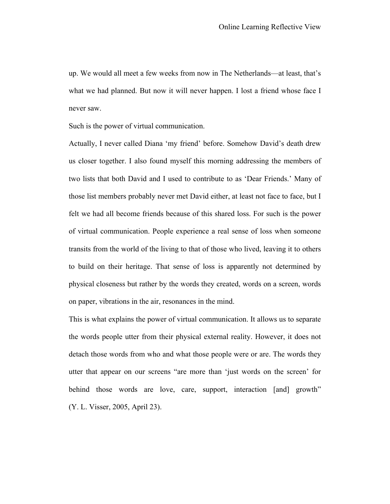up. We would all meet a few weeks from now in The Netherlands—at least, that's what we had planned. But now it will never happen. I lost a friend whose face I never saw.

Such is the power of virtual communication.

Actually, I never called Diana 'my friend' before. Somehow David's death drew us closer together. I also found myself this morning addressing the members of two lists that both David and I used to contribute to as 'Dear Friends.' Many of those list members probably never met David either, at least not face to face, but I felt we had all become friends because of this shared loss. For such is the power of virtual communication. People experience a real sense of loss when someone transits from the world of the living to that of those who lived, leaving it to others to build on their heritage. That sense of loss is apparently not determined by physical closeness but rather by the words they created, words on a screen, words on paper, vibrations in the air, resonances in the mind.

This is what explains the power of virtual communication. It allows us to separate the words people utter from their physical external reality. However, it does not detach those words from who and what those people were or are. The words they utter that appear on our screens "are more than 'just words on the screen' for behind those words are love, care, support, interaction [and] growth" (Y. L. Visser, 2005, April 23).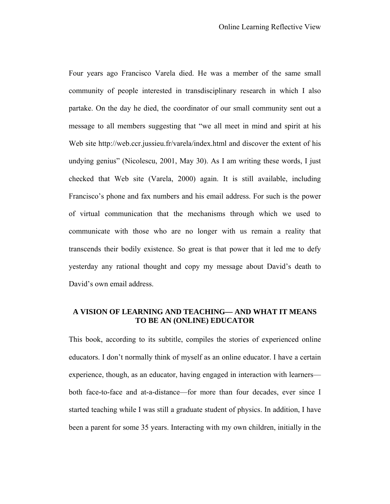Four years ago Francisco Varela died. He was a member of the same small community of people interested in transdisciplinary research in which I also partake. On the day he died, the coordinator of our small community sent out a message to all members suggesting that "we all meet in mind and spirit at his Web site http://web.ccr.jussieu.fr/varela/index.html and discover the extent of his undying genius" (Nicolescu, 2001, May 30). As I am writing these words, I just checked that Web site (Varela, 2000) again. It is still available, including Francisco's phone and fax numbers and his email address. For such is the power of virtual communication that the mechanisms through which we used to communicate with those who are no longer with us remain a reality that transcends their bodily existence. So great is that power that it led me to defy yesterday any rational thought and copy my message about David's death to David's own email address.

# **A VISION OF LEARNING AND TEACHING— AND WHAT IT MEANS TO BE AN (ONLINE) EDUCATOR**

This book, according to its subtitle, compiles the stories of experienced online educators. I don't normally think of myself as an online educator. I have a certain experience, though, as an educator, having engaged in interaction with learners both face-to-face and at-a-distance—for more than four decades, ever since I started teaching while I was still a graduate student of physics. In addition, I have been a parent for some 35 years. Interacting with my own children, initially in the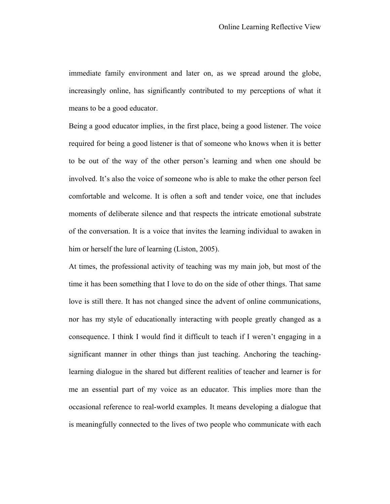immediate family environment and later on, as we spread around the globe, increasingly online, has significantly contributed to my perceptions of what it means to be a good educator.

Being a good educator implies, in the first place, being a good listener. The voice required for being a good listener is that of someone who knows when it is better to be out of the way of the other person's learning and when one should be involved. It's also the voice of someone who is able to make the other person feel comfortable and welcome. It is often a soft and tender voice, one that includes moments of deliberate silence and that respects the intricate emotional substrate of the conversation. It is a voice that invites the learning individual to awaken in him or herself the lure of learning (Liston, 2005).

At times, the professional activity of teaching was my main job, but most of the time it has been something that I love to do on the side of other things. That same love is still there. It has not changed since the advent of online communications, nor has my style of educationally interacting with people greatly changed as a consequence. I think I would find it difficult to teach if I weren't engaging in a significant manner in other things than just teaching. Anchoring the teachinglearning dialogue in the shared but different realities of teacher and learner is for me an essential part of my voice as an educator. This implies more than the occasional reference to real-world examples. It means developing a dialogue that is meaningfully connected to the lives of two people who communicate with each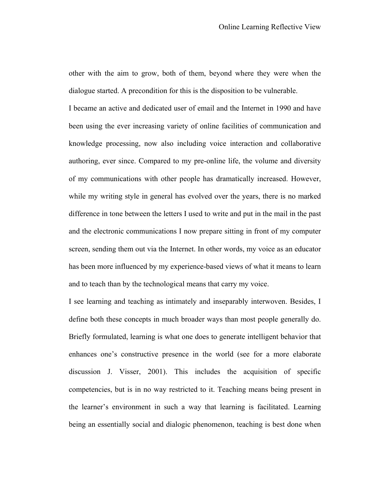other with the aim to grow, both of them, beyond where they were when the dialogue started. A precondition for this is the disposition to be vulnerable.

I became an active and dedicated user of email and the Internet in 1990 and have been using the ever increasing variety of online facilities of communication and knowledge processing, now also including voice interaction and collaborative authoring, ever since. Compared to my pre-online life, the volume and diversity of my communications with other people has dramatically increased. However, while my writing style in general has evolved over the years, there is no marked difference in tone between the letters I used to write and put in the mail in the past and the electronic communications I now prepare sitting in front of my computer screen, sending them out via the Internet. In other words, my voice as an educator has been more influenced by my experience-based views of what it means to learn and to teach than by the technological means that carry my voice.

I see learning and teaching as intimately and inseparably interwoven. Besides, I define both these concepts in much broader ways than most people generally do. Briefly formulated, learning is what one does to generate intelligent behavior that enhances one's constructive presence in the world (see for a more elaborate discussion J. Visser, 2001). This includes the acquisition of specific competencies, but is in no way restricted to it. Teaching means being present in the learner's environment in such a way that learning is facilitated. Learning being an essentially social and dialogic phenomenon, teaching is best done when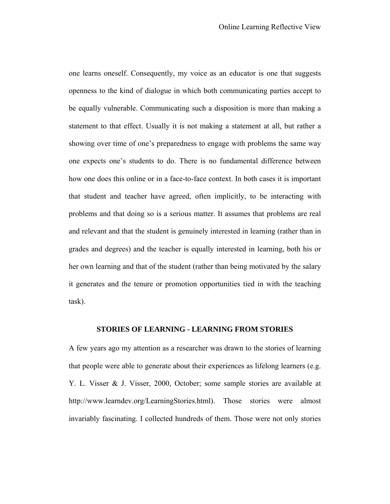one learns oneself. Consequently, my voice as an educator is one that suggests openness to the kind of dialogue in which both communicating parties accept to be equally vulnerable. Communicating such a disposition is more than making a statement to that effect. Usually it is not making a statement at all, but rather a showing over time of one's preparedness to engage with problems the same way one expects one's students to do. There is no fundamental difference between how one does this online or in a face-to-face context. In both cases it is important that student and teacher have agreed, often implicitly, to be interacting with problems and that doing so is a serious matter. It assumes that problems are real and relevant and that the student is genuinely interested in learning (rather than in grades and degrees) and the teacher is equally interested in learning, both his or her own learning and that of the student (rather than being motivated by the salary it generates and the tenure or promotion opportunities tied in with the teaching task).

# **STORIES OF LEARNING - LEARNING FROM STORIES**

A few years ago my attention as a researcher was drawn to the stories of learning that people were able to generate about their experiences as lifelong learners (e.g. Y. L. Visser & J. Visser, 2000, October; some sample stories are available at http://www.learndev.org/LearningStories.html). Those stories were almost invariably fascinating. I collected hundreds of them. Those were not only stories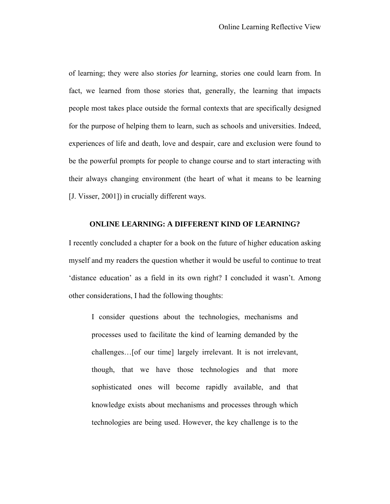of learning; they were also stories *for* learning, stories one could learn from. In fact, we learned from those stories that, generally, the learning that impacts people most takes place outside the formal contexts that are specifically designed for the purpose of helping them to learn, such as schools and universities. Indeed, experiences of life and death, love and despair, care and exclusion were found to be the powerful prompts for people to change course and to start interacting with their always changing environment (the heart of what it means to be learning [J. Visser, 2001]) in crucially different ways.

# **ONLINE LEARNING: A DIFFERENT KIND OF LEARNING?**

I recently concluded a chapter for a book on the future of higher education asking myself and my readers the question whether it would be useful to continue to treat 'distance education' as a field in its own right? I concluded it wasn't. Among other considerations, I had the following thoughts:

I consider questions about the technologies, mechanisms and processes used to facilitate the kind of learning demanded by the challenges…[of our time] largely irrelevant. It is not irrelevant, though, that we have those technologies and that more sophisticated ones will become rapidly available, and that knowledge exists about mechanisms and processes through which technologies are being used. However, the key challenge is to the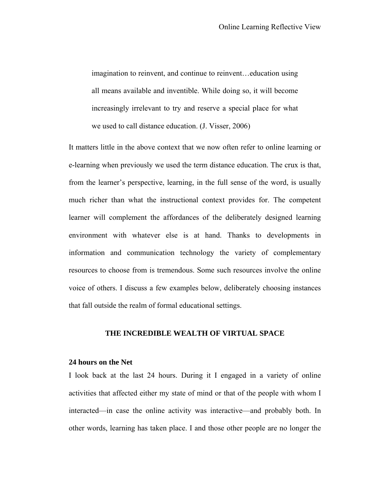imagination to reinvent, and continue to reinvent…education using all means available and inventible. While doing so, it will become increasingly irrelevant to try and reserve a special place for what we used to call distance education. (J. Visser, 2006)

It matters little in the above context that we now often refer to online learning or e-learning when previously we used the term distance education. The crux is that, from the learner's perspective, learning, in the full sense of the word, is usually much richer than what the instructional context provides for. The competent learner will complement the affordances of the deliberately designed learning environment with whatever else is at hand. Thanks to developments in information and communication technology the variety of complementary resources to choose from is tremendous. Some such resources involve the online voice of others. I discuss a few examples below, deliberately choosing instances that fall outside the realm of formal educational settings.

### **THE INCREDIBLE WEALTH OF VIRTUAL SPACE**

### **24 hours on the Net**

I look back at the last 24 hours. During it I engaged in a variety of online activities that affected either my state of mind or that of the people with whom I interacted—in case the online activity was interactive—and probably both. In other words, learning has taken place. I and those other people are no longer the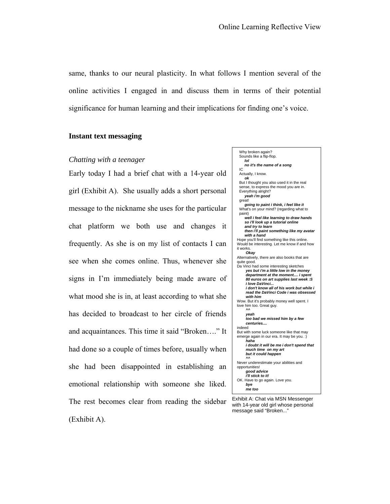same, thanks to our neural plasticity. In what follows I mention several of the online activities I engaged in and discuss them in terms of their potential significance for human learning and their implications for finding one's voice.

### **Instant text messaging**

#### *Chatting with a teenager*

Early today I had a brief chat with a 14-year old girl (Exhibit A). She usually adds a short personal message to the nickname she uses for the particular chat platform we both use and changes it frequently. As she is on my list of contacts I can see when she comes online. Thus, whenever she signs in I'm immediately being made aware of what mood she is in, at least according to what she has decided to broadcast to her circle of friends and acquaintances. This time it said "Broken…." It had done so a couple of times before, usually when she had been disappointed in establishing an emotional relationship with someone she liked. The rest becomes clear from reading the sidebar (Exhibit A).



Exhibit A: Chat via MSN Messenger with 14-year old girl whose personal message said "Broken..."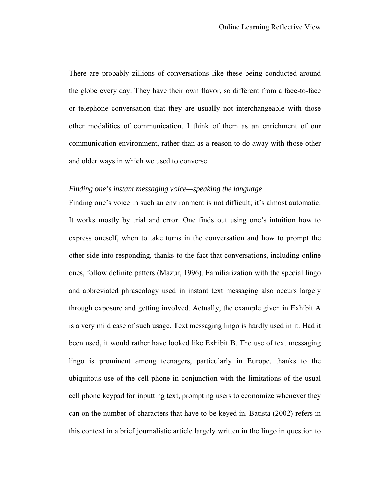There are probably zillions of conversations like these being conducted around the globe every day. They have their own flavor, so different from a face-to-face or telephone conversation that they are usually not interchangeable with those other modalities of communication. I think of them as an enrichment of our communication environment, rather than as a reason to do away with those other and older ways in which we used to converse.

# *Finding one's instant messaging voice—speaking the language*

Finding one's voice in such an environment is not difficult; it's almost automatic. It works mostly by trial and error. One finds out using one's intuition how to express oneself, when to take turns in the conversation and how to prompt the other side into responding, thanks to the fact that conversations, including online ones, follow definite patters (Mazur, 1996). Familiarization with the special lingo and abbreviated phraseology used in instant text messaging also occurs largely through exposure and getting involved. Actually, the example given in Exhibit A is a very mild case of such usage. Text messaging lingo is hardly used in it. Had it been used, it would rather have looked like Exhibit B. The use of text messaging lingo is prominent among teenagers, particularly in Europe, thanks to the ubiquitous use of the cell phone in conjunction with the limitations of the usual cell phone keypad for inputting text, prompting users to economize whenever they can on the number of characters that have to be keyed in. Batista (2002) refers in this context in a brief journalistic article largely written in the lingo in question to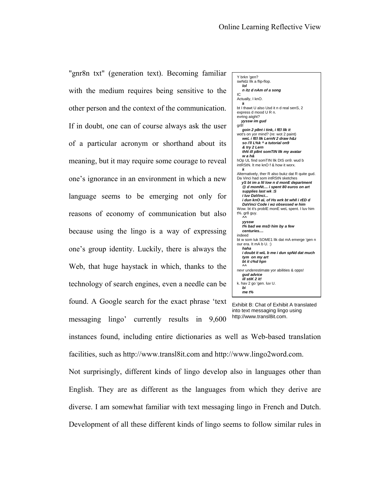"gnr8n txt" (generation text). Becoming familiar with the medium requires being sensitive to the other person and the context of the communication. If in doubt, one can of course always ask the user of a particular acronym or shorthand about its meaning, but it may require some courage to reveal one's ignorance in an environment in which a new language seems to be emerging not only for reasons of economy of communication but also because using the lingo is a way of expressing one's group identity. Luckily, there is always the Web, that huge haystack in which, thanks to the technology of search engines, even a needle can be found. A Google search for the exact phrase 'text messaging lingo' currently results in 9,600



into text messaging lingo using http://www.transl8it.com.

instances found, including entire dictionaries as well as Web-based translation facilities, such as http://www.transl8it.com and http://www.lingo2word.com.

Not surprisingly, different kinds of lingo develop also in languages other than English. They are as different as the languages from which they derive are diverse. I am somewhat familiar with text messaging lingo in French and Dutch. Development of all these different kinds of lingo seems to follow similar rules in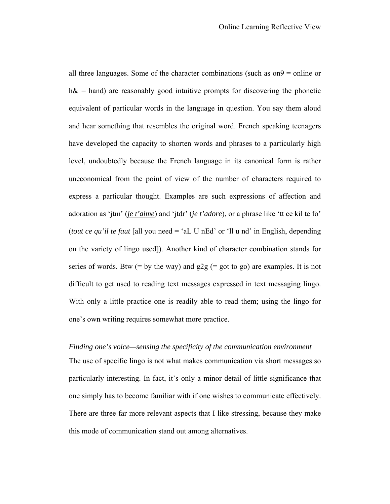all three languages. Some of the character combinations (such as on9 = online or  $h\&$  = hand) are reasonably good intuitive prompts for discovering the phonetic equivalent of particular words in the language in question. You say them aloud and hear something that resembles the original word. French speaking teenagers have developed the capacity to shorten words and phrases to a particularly high level, undoubtedly because the French language in its canonical form is rather uneconomical from the point of view of the number of characters required to express a particular thought. Examples are such expressions of affection and adoration as 'jtm' (*je t'aime*) and 'jtdr' (*je t'adore*), or a phrase like 'tt ce kil te fo' (*tout ce qu'il te faut* [all you need = 'aL U nEd' or 'll u nd' in English, depending on the variety of lingo used]). Another kind of character combination stands for series of words. Btw (= by the way) and  $g2g$  (= got to go) are examples. It is not difficult to get used to reading text messages expressed in text messaging lingo. With only a little practice one is readily able to read them; using the lingo for one's own writing requires somewhat more practice.

*Finding one's voice—sensing the specificity of the communication environment*  The use of specific lingo is not what makes communication via short messages so particularly interesting. In fact, it's only a minor detail of little significance that one simply has to become familiar with if one wishes to communicate effectively. There are three far more relevant aspects that I like stressing, because they make this mode of communication stand out among alternatives.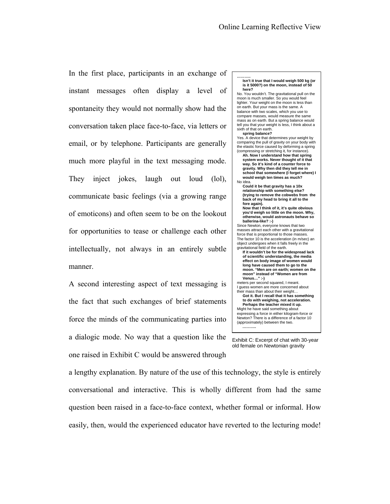In the first place, participants in an exchange of instant messages often display a level of spontaneity they would not normally show had the conversation taken place face-to-face, via letters or email, or by telephone. Participants are generally much more playful in the text messaging mode. They inject jokes, laugh out loud (lol), communicate basic feelings (via a growing range of emoticons) and often seem to be on the lookout for opportunities to tease or challenge each other intellectually, not always in an entirely subtle manner.

A second interesting aspect of text messaging is the fact that such exchanges of brief statements force the minds of the communicating parties into a dialogic mode. No way that a question like the one raised in Exhibit C would be answered through

**……….. Isn't it true that I would weigh 500 kg (or is it 5000?) on the moon, instead of 50 here?** No. You wouldn't. The gravitational pull on the moon is much smaller. So you would feel lighter. Your weight on the moon is less than on earth. But your mass is the same. A balance with two scales, which you use to compare masses, would measure the same mass as on earth. But a spring balance would tell you that your weight is less, I think about a sixth of that on earth. **spring balance?** Yes. A device that determines your weight by comparing the pull of gravity on your body with the elastic force caused by deforming a spring (compressing or stretching it, for instance). **Ah. Now I understand how that spring system works. Never thought of it that way. So it's kind of a counter force to gravity. Why then did they tell me in school that somewhere (I forget where) I would weigh ten times as much?** No idea. **Could it be that gravity has a 10x relationship with something else? (trying to remove the cobwebs from the back of my head to bring it all to the fore again). Now that I think of it, it's quite obvious you'd weigh so little on the moon. Why, otherwise, would astronauts behave so ballerina-like? :-)** Since Newton, everyone knows that two masses attract each other with a gravitational force that is proportional to those masses. The factor 10 is the acceleration (in m/sec) an object undergoes when it falls freely in the gravitational field of the earth. **If it wouldn't be for the widespread lack of scientific understanding, the media effect on body image of women would long have caused them to go to the moon. "Men are on earth; women on the moon" instead of "Women are from Venus…" :-)** meters per second squared, I meant. I guess women are more concerned about their mass than about their weight… **Got it. But I recall that it has something to do with weighing, not acceleration. Perhaps the teacher mixed it up.**  Might he have said something about expressing a force in either kilogram-force or Newton? There is a difference of a factor 10 (approximately) between the two. **………..** 

Exhibit C: Excerpt of chat with 30-year old female on Newtonian gravity

a lengthy explanation. By nature of the use of this technology, the style is entirely conversational and interactive. This is wholly different from had the same question been raised in a face-to-face context, whether formal or informal. How easily, then, would the experienced educator have reverted to the lecturing mode!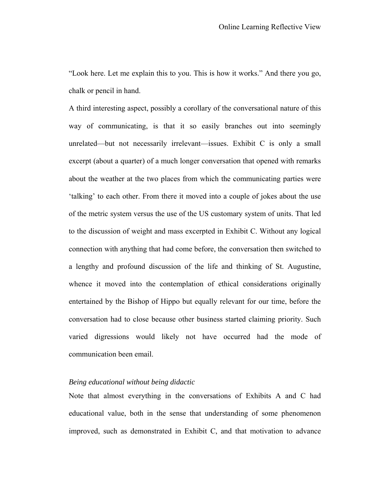"Look here. Let me explain this to you. This is how it works." And there you go, chalk or pencil in hand.

A third interesting aspect, possibly a corollary of the conversational nature of this way of communicating, is that it so easily branches out into seemingly unrelated—but not necessarily irrelevant—issues. Exhibit C is only a small excerpt (about a quarter) of a much longer conversation that opened with remarks about the weather at the two places from which the communicating parties were 'talking' to each other. From there it moved into a couple of jokes about the use of the metric system versus the use of the US customary system of units. That led to the discussion of weight and mass excerpted in Exhibit C. Without any logical connection with anything that had come before, the conversation then switched to a lengthy and profound discussion of the life and thinking of St. Augustine, whence it moved into the contemplation of ethical considerations originally entertained by the Bishop of Hippo but equally relevant for our time, before the conversation had to close because other business started claiming priority. Such varied digressions would likely not have occurred had the mode of communication been email.

# *Being educational without being didactic*

Note that almost everything in the conversations of Exhibits A and C had educational value, both in the sense that understanding of some phenomenon improved, such as demonstrated in Exhibit C, and that motivation to advance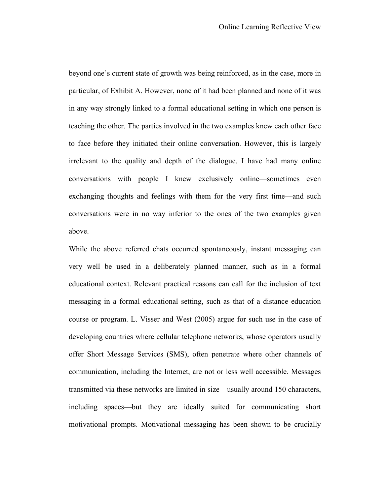beyond one's current state of growth was being reinforced, as in the case, more in particular, of Exhibit A. However, none of it had been planned and none of it was in any way strongly linked to a formal educational setting in which one person is teaching the other. The parties involved in the two examples knew each other face to face before they initiated their online conversation. However, this is largely irrelevant to the quality and depth of the dialogue. I have had many online conversations with people I knew exclusively online—sometimes even exchanging thoughts and feelings with them for the very first time—and such conversations were in no way inferior to the ones of the two examples given above.

While the above referred chats occurred spontaneously, instant messaging can very well be used in a deliberately planned manner, such as in a formal educational context. Relevant practical reasons can call for the inclusion of text messaging in a formal educational setting, such as that of a distance education course or program. L. Visser and West (2005) argue for such use in the case of developing countries where cellular telephone networks, whose operators usually offer Short Message Services (SMS), often penetrate where other channels of communication, including the Internet, are not or less well accessible. Messages transmitted via these networks are limited in size—usually around 150 characters, including spaces—but they are ideally suited for communicating short motivational prompts. Motivational messaging has been shown to be crucially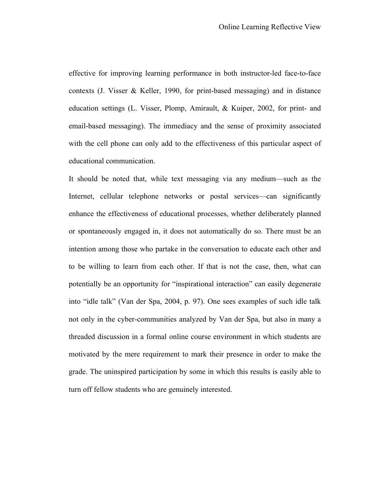effective for improving learning performance in both instructor-led face-to-face contexts (J. Visser & Keller, 1990, for print-based messaging) and in distance education settings (L. Visser, Plomp, Amirault, & Kuiper, 2002, for print- and email-based messaging). The immediacy and the sense of proximity associated with the cell phone can only add to the effectiveness of this particular aspect of educational communication.

It should be noted that, while text messaging via any medium—such as the Internet, cellular telephone networks or postal services—can significantly enhance the effectiveness of educational processes, whether deliberately planned or spontaneously engaged in, it does not automatically do so. There must be an intention among those who partake in the conversation to educate each other and to be willing to learn from each other. If that is not the case, then, what can potentially be an opportunity for "inspirational interaction" can easily degenerate into "idle talk" (Van der Spa, 2004, p. 97). One sees examples of such idle talk not only in the cyber-communities analyzed by Van der Spa, but also in many a threaded discussion in a formal online course environment in which students are motivated by the mere requirement to mark their presence in order to make the grade. The uninspired participation by some in which this results is easily able to turn off fellow students who are genuinely interested.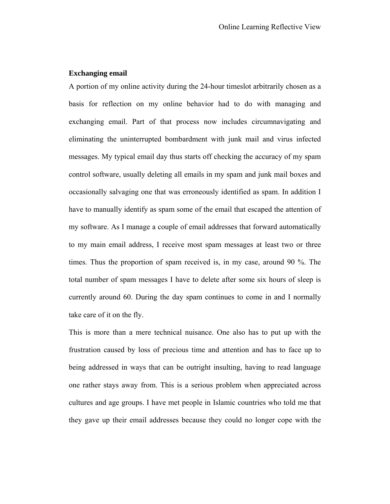# **Exchanging email**

A portion of my online activity during the 24-hour timeslot arbitrarily chosen as a basis for reflection on my online behavior had to do with managing and exchanging email. Part of that process now includes circumnavigating and eliminating the uninterrupted bombardment with junk mail and virus infected messages. My typical email day thus starts off checking the accuracy of my spam control software, usually deleting all emails in my spam and junk mail boxes and occasionally salvaging one that was erroneously identified as spam. In addition I have to manually identify as spam some of the email that escaped the attention of my software. As I manage a couple of email addresses that forward automatically to my main email address, I receive most spam messages at least two or three times. Thus the proportion of spam received is, in my case, around 90 %. The total number of spam messages I have to delete after some six hours of sleep is currently around 60. During the day spam continues to come in and I normally take care of it on the fly.

This is more than a mere technical nuisance. One also has to put up with the frustration caused by loss of precious time and attention and has to face up to being addressed in ways that can be outright insulting, having to read language one rather stays away from. This is a serious problem when appreciated across cultures and age groups. I have met people in Islamic countries who told me that they gave up their email addresses because they could no longer cope with the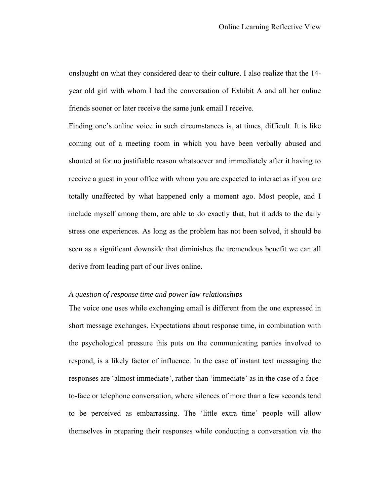onslaught on what they considered dear to their culture. I also realize that the 14 year old girl with whom I had the conversation of Exhibit A and all her online friends sooner or later receive the same junk email I receive.

Finding one's online voice in such circumstances is, at times, difficult. It is like coming out of a meeting room in which you have been verbally abused and shouted at for no justifiable reason whatsoever and immediately after it having to receive a guest in your office with whom you are expected to interact as if you are totally unaffected by what happened only a moment ago. Most people, and I include myself among them, are able to do exactly that, but it adds to the daily stress one experiences. As long as the problem has not been solved, it should be seen as a significant downside that diminishes the tremendous benefit we can all derive from leading part of our lives online.

# *A question of response time and power law relationships*

The voice one uses while exchanging email is different from the one expressed in short message exchanges. Expectations about response time, in combination with the psychological pressure this puts on the communicating parties involved to respond, is a likely factor of influence. In the case of instant text messaging the responses are 'almost immediate', rather than 'immediate' as in the case of a faceto-face or telephone conversation, where silences of more than a few seconds tend to be perceived as embarrassing. The 'little extra time' people will allow themselves in preparing their responses while conducting a conversation via the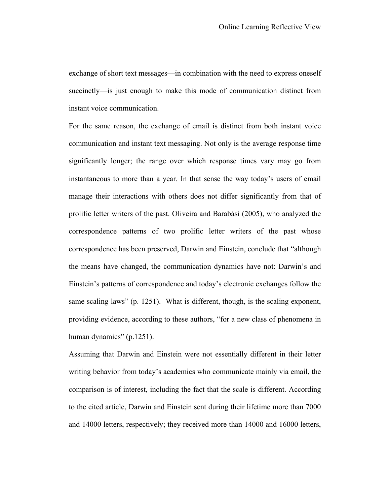exchange of short text messages—in combination with the need to express oneself succinctly—is just enough to make this mode of communication distinct from instant voice communication.

For the same reason, the exchange of email is distinct from both instant voice communication and instant text messaging. Not only is the average response time significantly longer; the range over which response times vary may go from instantaneous to more than a year. In that sense the way today's users of email manage their interactions with others does not differ significantly from that of prolific letter writers of the past. Oliveira and Barabási (2005), who analyzed the correspondence patterns of two prolific letter writers of the past whose correspondence has been preserved, Darwin and Einstein, conclude that "although the means have changed, the communication dynamics have not: Darwin's and Einstein's patterns of correspondence and today's electronic exchanges follow the same scaling laws" (p. 1251). What is different, though, is the scaling exponent, providing evidence, according to these authors, "for a new class of phenomena in human dynamics" (p.1251).

Assuming that Darwin and Einstein were not essentially different in their letter writing behavior from today's academics who communicate mainly via email, the comparison is of interest, including the fact that the scale is different. According to the cited article, Darwin and Einstein sent during their lifetime more than 7000 and 14000 letters, respectively; they received more than 14000 and 16000 letters,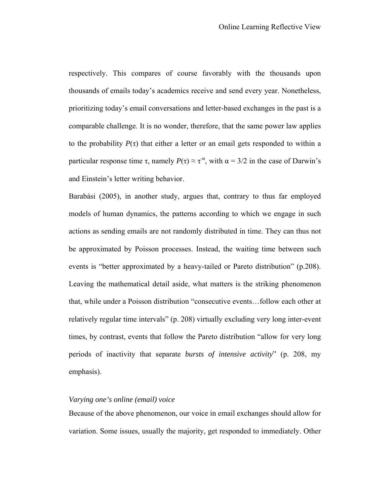respectively. This compares of course favorably with the thousands upon thousands of emails today's academics receive and send every year. Nonetheless, prioritizing today's email conversations and letter-based exchanges in the past is a comparable challenge. It is no wonder, therefore, that the same power law applies to the probability  $P(\tau)$  that either a letter or an email gets responded to within a particular response time  $\tau$ , namely  $P(\tau) \approx \tau^{\alpha}$ , with  $\alpha = 3/2$  in the case of Darwin's and Einstein's letter writing behavior.

Barabási (2005), in another study, argues that, contrary to thus far employed models of human dynamics, the patterns according to which we engage in such actions as sending emails are not randomly distributed in time. They can thus not be approximated by Poisson processes. Instead, the waiting time between such events is "better approximated by a heavy-tailed or Pareto distribution" (p.208). Leaving the mathematical detail aside, what matters is the striking phenomenon that, while under a Poisson distribution "consecutive events…follow each other at relatively regular time intervals" (p. 208) virtually excluding very long inter-event times, by contrast, events that follow the Pareto distribution "allow for very long periods of inactivity that separate *bursts of intensive activity*" (p. 208, my emphasis).

# *Varying one's online (email) voice*

Because of the above phenomenon, our voice in email exchanges should allow for variation. Some issues, usually the majority, get responded to immediately. Other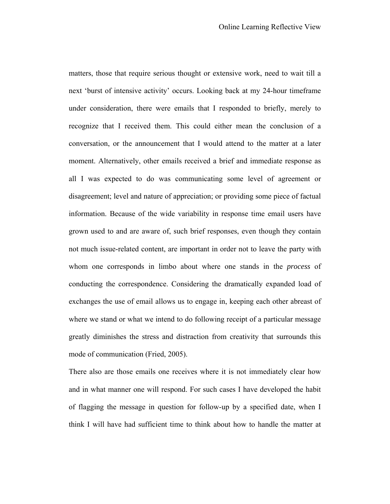matters, those that require serious thought or extensive work, need to wait till a next 'burst of intensive activity' occurs. Looking back at my 24-hour timeframe under consideration, there were emails that I responded to briefly, merely to recognize that I received them. This could either mean the conclusion of a conversation, or the announcement that I would attend to the matter at a later moment. Alternatively, other emails received a brief and immediate response as all I was expected to do was communicating some level of agreement or disagreement; level and nature of appreciation; or providing some piece of factual information. Because of the wide variability in response time email users have grown used to and are aware of, such brief responses, even though they contain not much issue-related content, are important in order not to leave the party with whom one corresponds in limbo about where one stands in the *process* of conducting the correspondence. Considering the dramatically expanded load of exchanges the use of email allows us to engage in, keeping each other abreast of where we stand or what we intend to do following receipt of a particular message greatly diminishes the stress and distraction from creativity that surrounds this mode of communication (Fried, 2005).

There also are those emails one receives where it is not immediately clear how and in what manner one will respond. For such cases I have developed the habit of flagging the message in question for follow-up by a specified date, when I think I will have had sufficient time to think about how to handle the matter at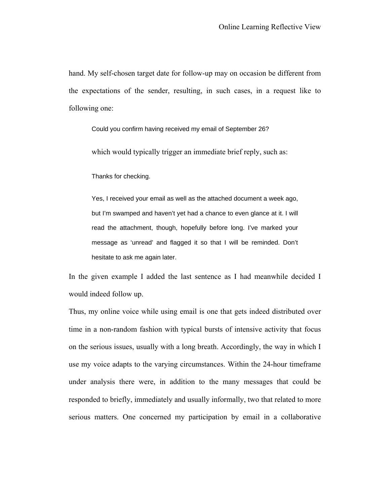hand. My self-chosen target date for follow-up may on occasion be different from the expectations of the sender, resulting, in such cases, in a request like to following one:

Could you confirm having received my email of September 26?

which would typically trigger an immediate brief reply, such as:

Thanks for checking.

Yes, I received your email as well as the attached document a week ago, but I'm swamped and haven't yet had a chance to even glance at it. I will read the attachment, though, hopefully before long. I've marked your message as 'unread' and flagged it so that I will be reminded. Don't hesitate to ask me again later.

In the given example I added the last sentence as I had meanwhile decided I would indeed follow up.

Thus, my online voice while using email is one that gets indeed distributed over time in a non-random fashion with typical bursts of intensive activity that focus on the serious issues, usually with a long breath. Accordingly, the way in which I use my voice adapts to the varying circumstances. Within the 24-hour timeframe under analysis there were, in addition to the many messages that could be responded to briefly, immediately and usually informally, two that related to more serious matters. One concerned my participation by email in a collaborative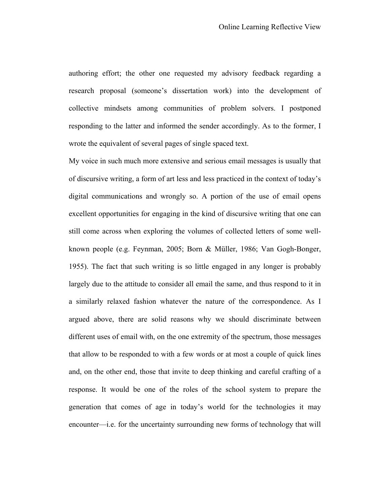authoring effort; the other one requested my advisory feedback regarding a research proposal (someone's dissertation work) into the development of collective mindsets among communities of problem solvers. I postponed responding to the latter and informed the sender accordingly. As to the former, I wrote the equivalent of several pages of single spaced text.

My voice in such much more extensive and serious email messages is usually that of discursive writing, a form of art less and less practiced in the context of today's digital communications and wrongly so. A portion of the use of email opens excellent opportunities for engaging in the kind of discursive writing that one can still come across when exploring the volumes of collected letters of some wellknown people (e.g. Feynman, 2005; Born & Müller, 1986; Van Gogh-Bonger, 1955). The fact that such writing is so little engaged in any longer is probably largely due to the attitude to consider all email the same, and thus respond to it in a similarly relaxed fashion whatever the nature of the correspondence. As I argued above, there are solid reasons why we should discriminate between different uses of email with, on the one extremity of the spectrum, those messages that allow to be responded to with a few words or at most a couple of quick lines and, on the other end, those that invite to deep thinking and careful crafting of a response. It would be one of the roles of the school system to prepare the generation that comes of age in today's world for the technologies it may encounter—i.e. for the uncertainty surrounding new forms of technology that will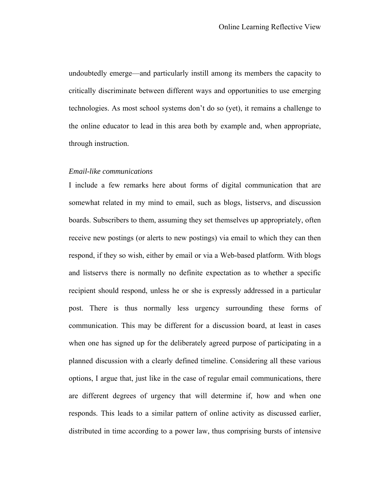undoubtedly emerge—and particularly instill among its members the capacity to critically discriminate between different ways and opportunities to use emerging technologies. As most school systems don't do so (yet), it remains a challenge to the online educator to lead in this area both by example and, when appropriate, through instruction.

### *Email-like communications*

I include a few remarks here about forms of digital communication that are somewhat related in my mind to email, such as blogs, listservs, and discussion boards. Subscribers to them, assuming they set themselves up appropriately, often receive new postings (or alerts to new postings) via email to which they can then respond, if they so wish, either by email or via a Web-based platform. With blogs and listservs there is normally no definite expectation as to whether a specific recipient should respond, unless he or she is expressly addressed in a particular post. There is thus normally less urgency surrounding these forms of communication. This may be different for a discussion board, at least in cases when one has signed up for the deliberately agreed purpose of participating in a planned discussion with a clearly defined timeline. Considering all these various options, I argue that, just like in the case of regular email communications, there are different degrees of urgency that will determine if, how and when one responds. This leads to a similar pattern of online activity as discussed earlier, distributed in time according to a power law, thus comprising bursts of intensive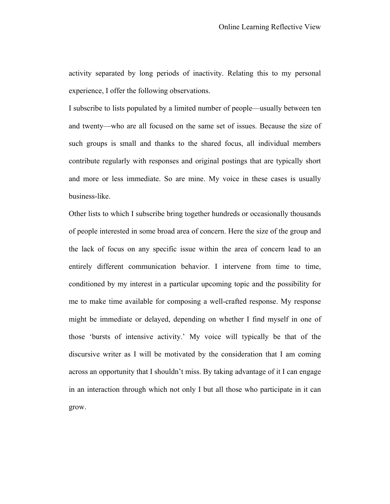activity separated by long periods of inactivity. Relating this to my personal experience, I offer the following observations.

I subscribe to lists populated by a limited number of people—usually between ten and twenty—who are all focused on the same set of issues. Because the size of such groups is small and thanks to the shared focus, all individual members contribute regularly with responses and original postings that are typically short and more or less immediate. So are mine. My voice in these cases is usually business-like.

Other lists to which I subscribe bring together hundreds or occasionally thousands of people interested in some broad area of concern. Here the size of the group and the lack of focus on any specific issue within the area of concern lead to an entirely different communication behavior. I intervene from time to time, conditioned by my interest in a particular upcoming topic and the possibility for me to make time available for composing a well-crafted response. My response might be immediate or delayed, depending on whether I find myself in one of those 'bursts of intensive activity.' My voice will typically be that of the discursive writer as I will be motivated by the consideration that I am coming across an opportunity that I shouldn't miss. By taking advantage of it I can engage in an interaction through which not only I but all those who participate in it can grow.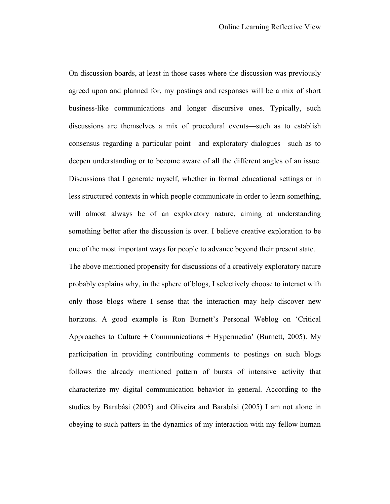On discussion boards, at least in those cases where the discussion was previously agreed upon and planned for, my postings and responses will be a mix of short business-like communications and longer discursive ones. Typically, such discussions are themselves a mix of procedural events—such as to establish consensus regarding a particular point—and exploratory dialogues—such as to deepen understanding or to become aware of all the different angles of an issue. Discussions that I generate myself, whether in formal educational settings or in less structured contexts in which people communicate in order to learn something, will almost always be of an exploratory nature, aiming at understanding something better after the discussion is over. I believe creative exploration to be one of the most important ways for people to advance beyond their present state.

The above mentioned propensity for discussions of a creatively exploratory nature probably explains why, in the sphere of blogs, I selectively choose to interact with only those blogs where I sense that the interaction may help discover new horizons. A good example is Ron Burnett's Personal Weblog on 'Critical Approaches to Culture + Communications + Hypermedia' (Burnett, 2005). My participation in providing contributing comments to postings on such blogs follows the already mentioned pattern of bursts of intensive activity that characterize my digital communication behavior in general. According to the studies by Barabási (2005) and Oliveira and Barabási (2005) I am not alone in obeying to such patters in the dynamics of my interaction with my fellow human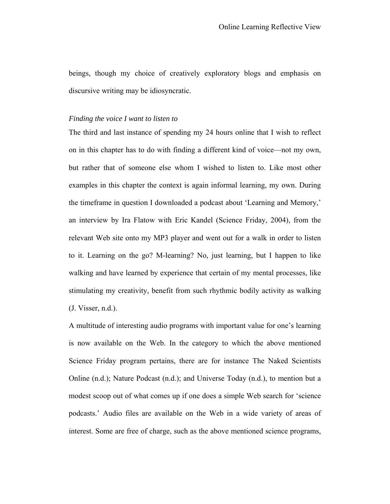beings, though my choice of creatively exploratory blogs and emphasis on discursive writing may be idiosyncratic.

### *Finding the voice I want to listen to*

The third and last instance of spending my 24 hours online that I wish to reflect on in this chapter has to do with finding a different kind of voice—not my own, but rather that of someone else whom I wished to listen to. Like most other examples in this chapter the context is again informal learning, my own. During the timeframe in question I downloaded a podcast about 'Learning and Memory,' an interview by Ira Flatow with Eric Kandel (Science Friday, 2004), from the relevant Web site onto my MP3 player and went out for a walk in order to listen to it. Learning on the go? M-learning? No, just learning, but I happen to like walking and have learned by experience that certain of my mental processes, like stimulating my creativity, benefit from such rhythmic bodily activity as walking (J. Visser, n.d.).

A multitude of interesting audio programs with important value for one's learning is now available on the Web. In the category to which the above mentioned Science Friday program pertains, there are for instance The Naked Scientists Online (n.d.); Nature Podcast (n.d.); and Universe Today (n.d.), to mention but a modest scoop out of what comes up if one does a simple Web search for 'science podcasts.' Audio files are available on the Web in a wide variety of areas of interest. Some are free of charge, such as the above mentioned science programs,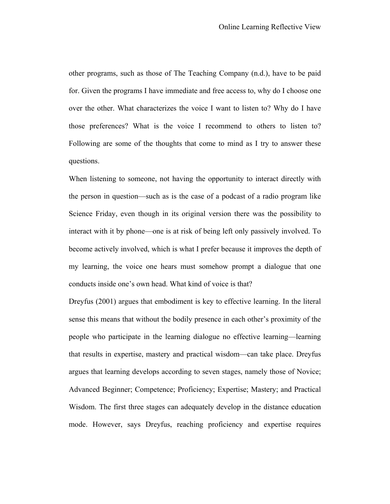other programs, such as those of The Teaching Company (n.d.), have to be paid for. Given the programs I have immediate and free access to, why do I choose one over the other. What characterizes the voice I want to listen to? Why do I have those preferences? What is the voice I recommend to others to listen to? Following are some of the thoughts that come to mind as I try to answer these questions.

When listening to someone, not having the opportunity to interact directly with the person in question—such as is the case of a podcast of a radio program like Science Friday, even though in its original version there was the possibility to interact with it by phone—one is at risk of being left only passively involved. To become actively involved, which is what I prefer because it improves the depth of my learning, the voice one hears must somehow prompt a dialogue that one conducts inside one's own head. What kind of voice is that?

Dreyfus (2001) argues that embodiment is key to effective learning. In the literal sense this means that without the bodily presence in each other's proximity of the people who participate in the learning dialogue no effective learning—learning that results in expertise, mastery and practical wisdom—can take place. Dreyfus argues that learning develops according to seven stages, namely those of Novice; Advanced Beginner; Competence; Proficiency; Expertise; Mastery; and Practical Wisdom. The first three stages can adequately develop in the distance education mode. However, says Dreyfus, reaching proficiency and expertise requires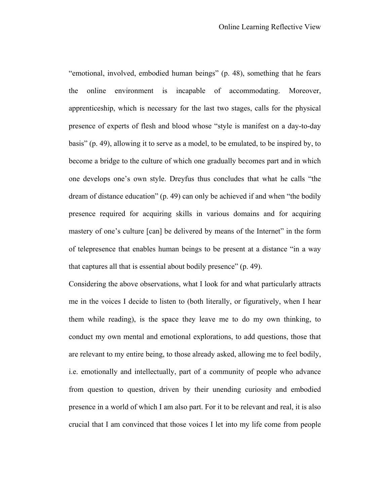"emotional, involved, embodied human beings" (p. 48), something that he fears the online environment is incapable of accommodating. Moreover, apprenticeship, which is necessary for the last two stages, calls for the physical presence of experts of flesh and blood whose "style is manifest on a day-to-day basis" (p. 49), allowing it to serve as a model, to be emulated, to be inspired by, to become a bridge to the culture of which one gradually becomes part and in which one develops one's own style. Dreyfus thus concludes that what he calls "the dream of distance education" (p. 49) can only be achieved if and when "the bodily presence required for acquiring skills in various domains and for acquiring mastery of one's culture [can] be delivered by means of the Internet" in the form of telepresence that enables human beings to be present at a distance "in a way that captures all that is essential about bodily presence" (p. 49).

Considering the above observations, what I look for and what particularly attracts me in the voices I decide to listen to (both literally, or figuratively, when I hear them while reading), is the space they leave me to do my own thinking, to conduct my own mental and emotional explorations, to add questions, those that are relevant to my entire being, to those already asked, allowing me to feel bodily, i.e. emotionally and intellectually, part of a community of people who advance from question to question, driven by their unending curiosity and embodied presence in a world of which I am also part. For it to be relevant and real, it is also crucial that I am convinced that those voices I let into my life come from people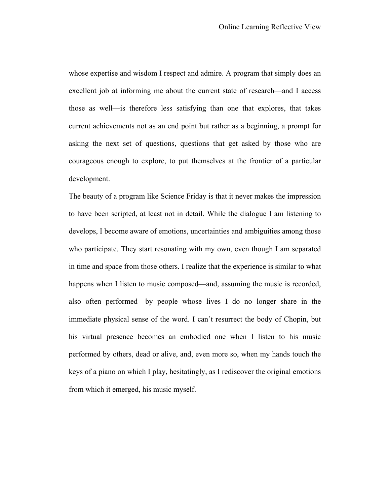whose expertise and wisdom I respect and admire. A program that simply does an excellent job at informing me about the current state of research—and I access those as well—is therefore less satisfying than one that explores, that takes current achievements not as an end point but rather as a beginning, a prompt for asking the next set of questions, questions that get asked by those who are courageous enough to explore, to put themselves at the frontier of a particular development.

The beauty of a program like Science Friday is that it never makes the impression to have been scripted, at least not in detail. While the dialogue I am listening to develops, I become aware of emotions, uncertainties and ambiguities among those who participate. They start resonating with my own, even though I am separated in time and space from those others. I realize that the experience is similar to what happens when I listen to music composed—and, assuming the music is recorded, also often performed—by people whose lives I do no longer share in the immediate physical sense of the word. I can't resurrect the body of Chopin, but his virtual presence becomes an embodied one when I listen to his music performed by others, dead or alive, and, even more so, when my hands touch the keys of a piano on which I play, hesitatingly, as I rediscover the original emotions from which it emerged, his music myself.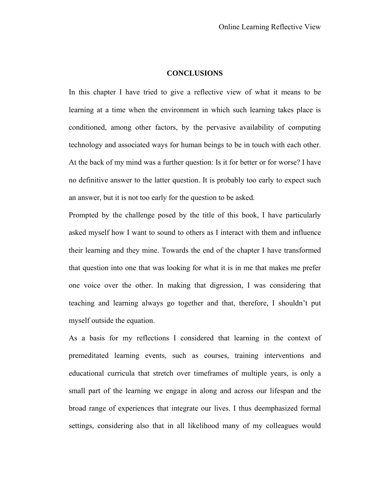### **CONCLUSIONS**

In this chapter I have tried to give a reflective view of what it means to be learning at a time when the environment in which such learning takes place is conditioned, among other factors, by the pervasive availability of computing technology and associated ways for human beings to be in touch with each other. At the back of my mind was a further question: Is it for better or for worse? I have no definitive answer to the latter question. It is probably too early to expect such an answer, but it is not too early for the question to be asked.

Prompted by the challenge posed by the title of this book, I have particularly asked myself how I want to sound to others as I interact with them and influence their learning and they mine. Towards the end of the chapter I have transformed that question into one that was looking for what it is in me that makes me prefer one voice over the other. In making that digression, I was considering that teaching and learning always go together and that, therefore, I shouldn't put myself outside the equation.

As a basis for my reflections I considered that learning in the context of premeditated learning events, such as courses, training interventions and educational curricula that stretch over timeframes of multiple years, is only a small part of the learning we engage in along and across our lifespan and the broad range of experiences that integrate our lives. I thus deemphasized formal settings, considering also that in all likelihood many of my colleagues would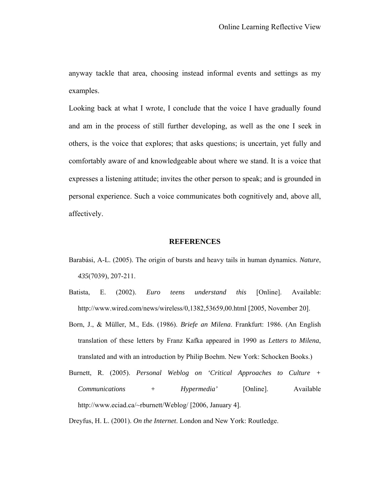anyway tackle that area, choosing instead informal events and settings as my examples.

Looking back at what I wrote, I conclude that the voice I have gradually found and am in the process of still further developing, as well as the one I seek in others, is the voice that explores; that asks questions; is uncertain, yet fully and comfortably aware of and knowledgeable about where we stand. It is a voice that expresses a listening attitude; invites the other person to speak; and is grounded in personal experience. Such a voice communicates both cognitively and, above all, affectively.

### **REFERENCES**

- Barabási, A-L. (2005). The origin of bursts and heavy tails in human dynamics. *Nature*, *435*(7039), 207-211.
- Batista, E. (2002). *Euro teens understand this* [Online]. Available: http://www.wired.com/news/wireless/0,1382,53659,00.html [2005, November 20].
- Born, J., & Müller, M., Eds. (1986). *Briefe an Milena*. Frankfurt: 1986. (An English translation of these letters by Franz Kafka appeared in 1990 as *Letters to Milena*, translated and with an introduction by Philip Boehm. New York: Schocken Books.)
- Burnett, R. (2005). *Personal Weblog on 'Critical Approaches to Culture + Communications + Hypermedia'* [Online]. Available http://www.eciad.ca/~rburnett/Weblog/ [2006, January 4].

Dreyfus, H. L. (2001). *On the Internet*. London and New York: Routledge.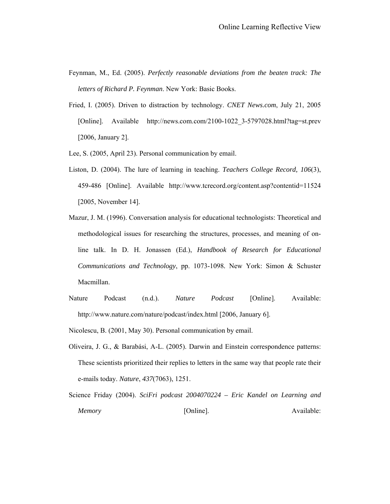- Feynman, M., Ed. (2005). *Perfectly reasonable deviations from the beaten track: The letters of Richard P. Feynman*. New York: Basic Books.
- Fried, I. (2005). Driven to distraction by technology. *CNET News.com*, July 21, 2005 [Online]. Available http://news.com.com/2100-1022\_3-5797028.html?tag=st.prev [2006, January 2].
- Lee, S. (2005, April 23). Personal communication by email.
- Liston, D. (2004). The lure of learning in teaching. *Teachers College Record, 106*(3), 459-486 [Online]. Available http://www.tcrecord.org/content.asp?contentid=11524 [2005, November 14].
- Mazur, J. M. (1996). Conversation analysis for educational technologists: Theoretical and methodological issues for researching the structures, processes, and meaning of online talk. In D. H. Jonassen (Ed.), *Handbook of Research for Educational Communications and Technology*, pp. 1073-1098*.* New York: Simon & Schuster Macmillan.
- Nature Podcast (n.d.). *Nature Podcast* [Online]. Available: http://www.nature.com/nature/podcast/index.html [2006, January 6].
- Nicolescu, B. (2001, May 30). Personal communication by email.
- Oliveira, J. G., & Barabási, A-L. (2005). Darwin and Einstein correspondence patterns: These scientists prioritized their replies to letters in the same way that people rate their e-mails today. *Nature*, *437*(7063), 1251.
- Science Friday (2004). *SciFri podcast 2004070224 Eric Kandel on Learning and Memory* [Online]. Available: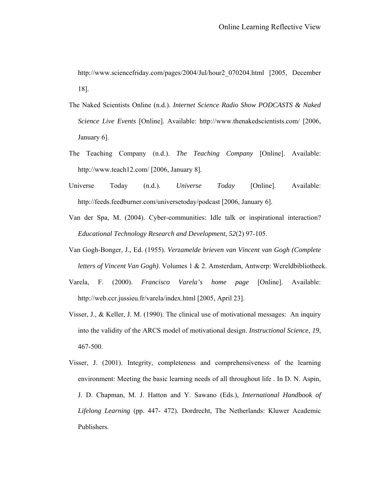http://www.sciencefriday.com/pages/2004/Jul/hour2\_070204.html [2005, December 18].

- The Naked Scientists Online (n.d.). *Internet [Science Radio Show PODCASTS](http://www.thenakedscientists.com/HTML/Shows/streaming_media.htm) & [Naked](http://www.thenakedscientists.com/nakedscience/index.htm)  [Science](http://www.thenakedscientists.com/nakedscience/index.htm) Live Events* [Online]. Available: http://www.thenakedscientists.com/ [2006, January 6].
- The Teaching Company (n.d.). *The Teaching Company* [Online]. Available: http://www.teach12.com/ [2006, January 8].
- Universe Today (n.d.). *Universe Today* [Online]. Available: http://feeds.feedburner.com/universetoday/podcast [2006, January 6].
- Van der Spa, M. (2004). Cyber-communities: Idle talk or inspirational interaction? *Educational Technology Research and Development*, *52*(2) 97-105.
- Van Gogh-Bonger, J., Ed. (1955). *Verzamelde brieven van Vincent van Gogh (Complete letters of Vincent Van Gogh)*. Volumes 1 & 2. Amsterdam, Antwerp: Wereldbibliotheek.
- Varela, F. (2000). *Francisco Varela's home page* [Online]. Available: http://web.ccr.jussieu.fr/varela/index.html [2005, April 23].
- Visser, J., & Keller, J. M. (1990). The clinical use of motivational messages: An inquiry into the validity of the ARCS model of motivational design. *Instructional Science, 19*, 467-500.
- Visser, J. (2001). Integrity, completeness and comprehensiveness of the learning environment: Meeting the basic learning needs of all throughout life *.* In D. N. Aspin, J. D. Chapman, M. J. Hatton and Y. Sawano (Eds.), *International Handbook of Lifelong Learning* (pp. 447- 472)*.* Dordrecht, The Netherlands: Kluwer Academic Publishers.